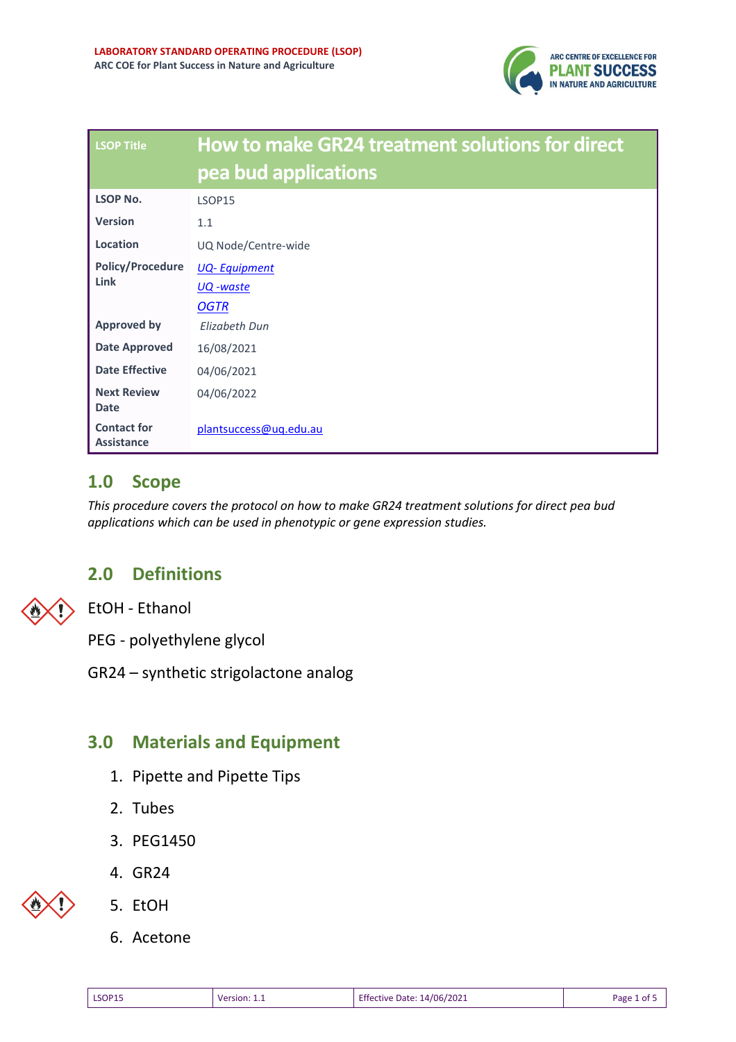

| <b>LSOP Title</b>                       | How to make GR24 treatment solutions for direct<br>pea bud applications |
|-----------------------------------------|-------------------------------------------------------------------------|
| <b>LSOP No.</b>                         | LSOP15                                                                  |
| <b>Version</b>                          | 1.1                                                                     |
| Location                                | UQ Node/Centre-wide                                                     |
| <b>Policy/Procedure</b>                 | <b>UQ-Equipment</b>                                                     |
| Link                                    | <u>UQ</u> -waste                                                        |
|                                         | <b>OGTR</b>                                                             |
| <b>Approved by</b>                      | Flizabeth Dun                                                           |
| <b>Date Approved</b>                    | 16/08/2021                                                              |
| <b>Date Effective</b>                   | 04/06/2021                                                              |
| <b>Next Review</b><br><b>Date</b>       | 04/06/2022                                                              |
| <b>Contact for</b><br><b>Assistance</b> | plantsuccess@uq.edu.au                                                  |

### **1.0 Scope**

*This procedure covers the protocol on how to make GR24 treatment solutions for direct pea bud applications which can be used in phenotypic or gene expression studies.* 

## **2.0 Definitions**

EtOH - Ethanol

PEG - polyethylene glycol

GR24 – synthetic strigolactone analog

## **3.0 Materials and Equipment**

- 1. Pipette and Pipette Tips
- 2. Tubes
- 3. PEG1450
- 4. GR24



- 5. EtOH
- 6. Acetone

| Effective Date: 14/06/2021<br>Page 1 of 5<br><b>LSOP15</b><br>Version: 1.1 |
|----------------------------------------------------------------------------|
|----------------------------------------------------------------------------|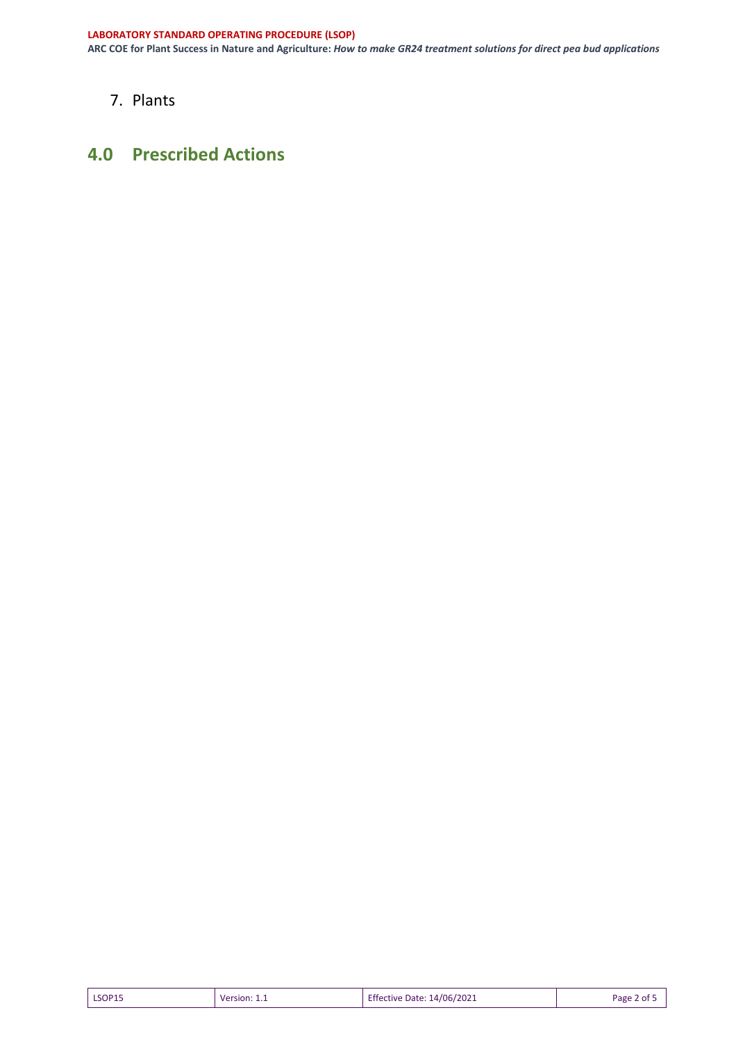**ARC COE for Plant Success in Nature and Agriculture:** *How to make GR24 treatment solutions for direct pea bud applications*

7. Plants

### **4.0 Prescribed Actions**

| <b>Effective Date: 14/06/2021</b><br>LSOP15<br>Page 2 of 5<br>Version: 1.1 |  |
|----------------------------------------------------------------------------|--|
|----------------------------------------------------------------------------|--|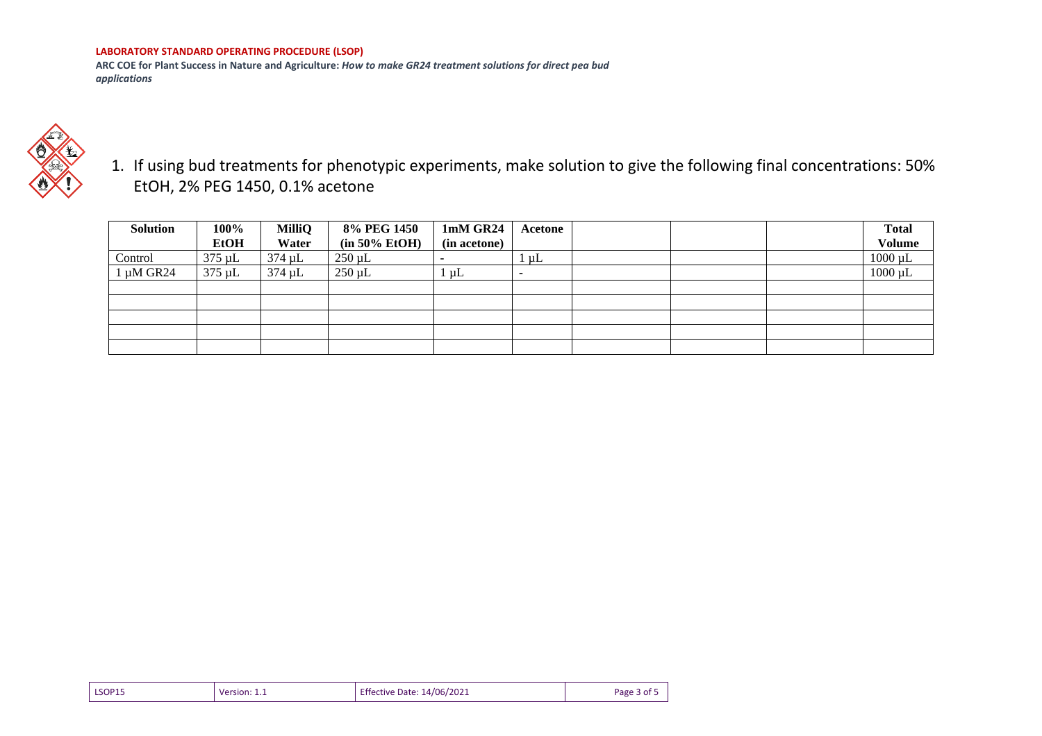#### **LABORATORY STANDARD OPERATING PROCEDURE (LSOP)**

**ARC COE for Plant Success in Nature and Agriculture:** *How to make GR24 treatment solutions for direct pea bud applications*



1. If using bud treatments for phenotypic experiments, make solution to give the following final concentrations: 50% EtOH, 2% PEG 1450, 0.1% acetone

| Solution       | 100%<br><b>EtOH</b> | MilliQ<br>Water | 8% PEG 1450<br>$(in 50\% EtoH)$ | 1mM GR24<br>(in acetone) | Acetone                  |  | <b>Total</b><br><b>Volume</b> |
|----------------|---------------------|-----------------|---------------------------------|--------------------------|--------------------------|--|-------------------------------|
| Control        | $375 \mu L$         | $374 \mu L$     | $250 \mu L$                     | $\overline{\phantom{0}}$ | $1 \mu L$                |  | $1000 \mu L$                  |
| $1 \mu M$ GR24 | $375 \mu L$         | $374 \mu L$     | $250 \mu L$                     | . µL                     | $\overline{\phantom{a}}$ |  | $1000 \mu L$                  |
|                |                     |                 |                                 |                          |                          |  |                               |
|                |                     |                 |                                 |                          |                          |  |                               |
|                |                     |                 |                                 |                          |                          |  |                               |
|                |                     |                 |                                 |                          |                          |  |                               |
|                |                     |                 |                                 |                          |                          |  |                               |

| LSOP15 | Version:<br>. | <b>Effective Date: 14/06/2021</b> | Page 3 of 5 |
|--------|---------------|-----------------------------------|-------------|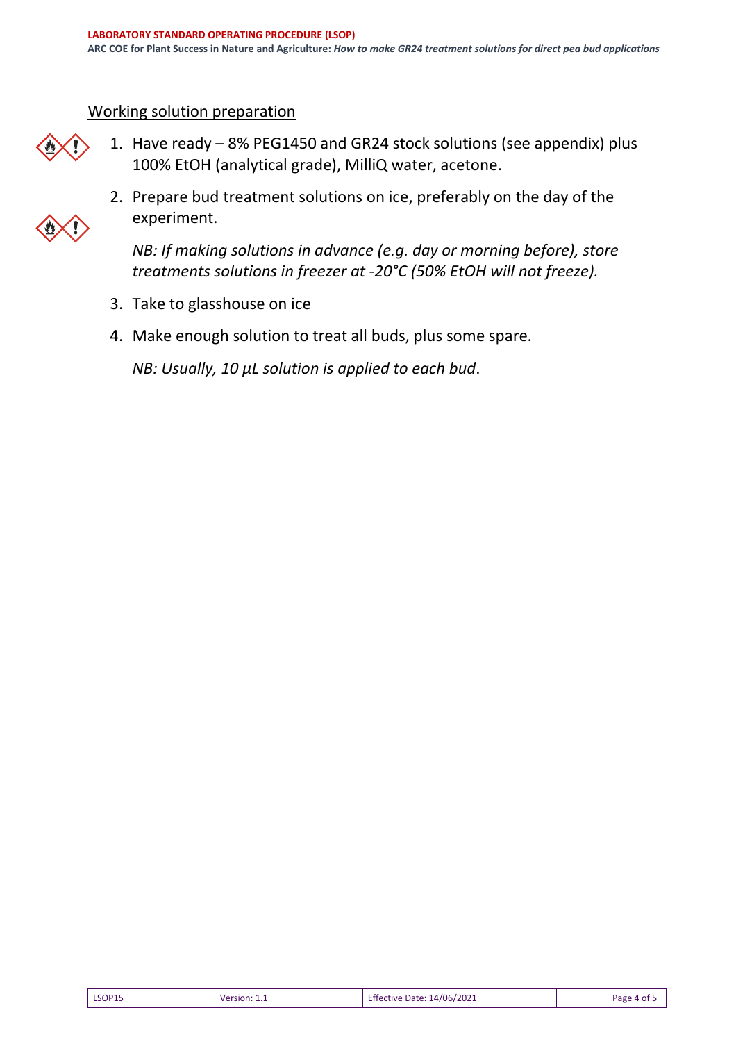#### Working solution preparation



- 1. Have ready 8% PEG1450 and GR24 stock solutions (see appendix) plus 100% EtOH (analytical grade), MilliQ water, acetone.
- 2. Prepare bud treatment solutions on ice, preferably on the day of the experiment.

*NB: If making solutions in advance (e.g. day or morning before), store treatments solutions in freezer at -20°C (50% EtOH will not freeze).*

- 3. Take to glasshouse on ice
- 4. Make enough solution to treat all buds, plus some spare.

*NB: Usually, 10 µL solution is applied to each bud*.

| <b>LSOP15</b> | Version: | <b>Effective Date: 14/06/2021</b> | Page 4 of 5 |
|---------------|----------|-----------------------------------|-------------|
|               |          |                                   |             |